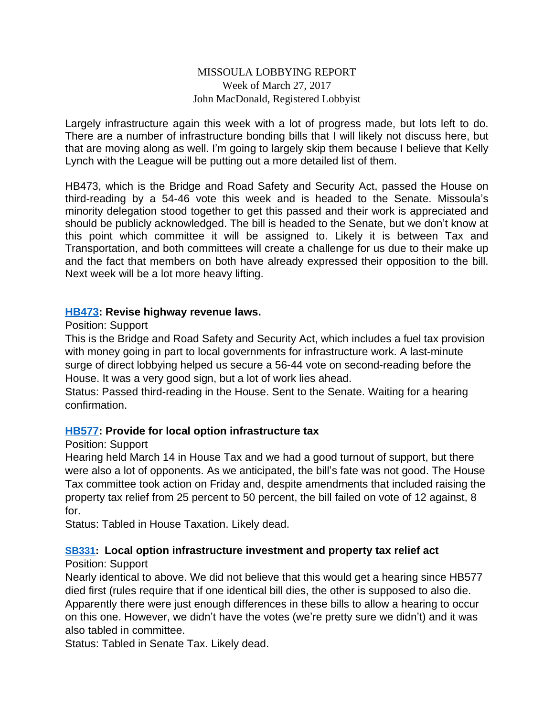### MISSOULA LOBBYING REPORT Week of March 27, 2017 John MacDonald, Registered Lobbyist

Largely infrastructure again this week with a lot of progress made, but lots left to do. There are a number of infrastructure bonding bills that I will likely not discuss here, but that are moving along as well. I'm going to largely skip them because I believe that Kelly Lynch with the League will be putting out a more detailed list of them.

HB473, which is the Bridge and Road Safety and Security Act, passed the House on third-reading by a 54-46 vote this week and is headed to the Senate. Missoula's minority delegation stood together to get this passed and their work is appreciated and should be publicly acknowledged. The bill is headed to the Senate, but we don't know at this point which committee it will be assigned to. Likely it is between Tax and Transportation, and both committees will create a challenge for us due to their make up and the fact that members on both have already expressed their opposition to the bill. Next week will be a lot more heavy lifting.

#### **[HB473](http://laws.leg.mt.gov/legprd/LAW0210W$BSIV.ActionQuery?P_BILL_NO1=473&P_BLTP_BILL_TYP_CD=HB&Z_ACTION=Find&P_SESS=20171): Revise highway revenue laws.**

#### Position: Support

This is the Bridge and Road Safety and Security Act, which includes a fuel tax provision with money going in part to local governments for infrastructure work. A last-minute surge of direct lobbying helped us secure a 56-44 vote on second-reading before the House. It was a very good sign, but a lot of work lies ahead.

Status: Passed third-reading in the House. Sent to the Senate. Waiting for a hearing confirmation.

### **[HB577](http://laws.leg.mt.gov/legprd/LAW0210W$BSIV.ActionQuery?P_BILL_NO1=577&P_BLTP_BILL_TYP_CD=HB&Z_ACTION=Find&P_SESS=20171): Provide for local option infrastructure tax**

### Position: Support

Hearing held March 14 in House Tax and we had a good turnout of support, but there were also a lot of opponents. As we anticipated, the bill's fate was not good. The House Tax committee took action on Friday and, despite amendments that included raising the property tax relief from 25 percent to 50 percent, the bill failed on vote of 12 against, 8 for.

Status: Tabled in House Taxation. Likely dead.

### **[SB331:](http://laws.leg.mt.gov/legprd/LAW0210W$BSIV.ActionQuery?P_BILL_NO1=331&P_BLTP_BILL_TYP_CD=SB&Z_ACTION=Find&P_SESS=20171) Local option infrastructure investment and property tax relief act**

### Position: Support

Nearly identical to above. We did not believe that this would get a hearing since HB577 died first (rules require that if one identical bill dies, the other is supposed to also die. Apparently there were just enough differences in these bills to allow a hearing to occur on this one. However, we didn't have the votes (we're pretty sure we didn't) and it was also tabled in committee.

Status: Tabled in Senate Tax. Likely dead.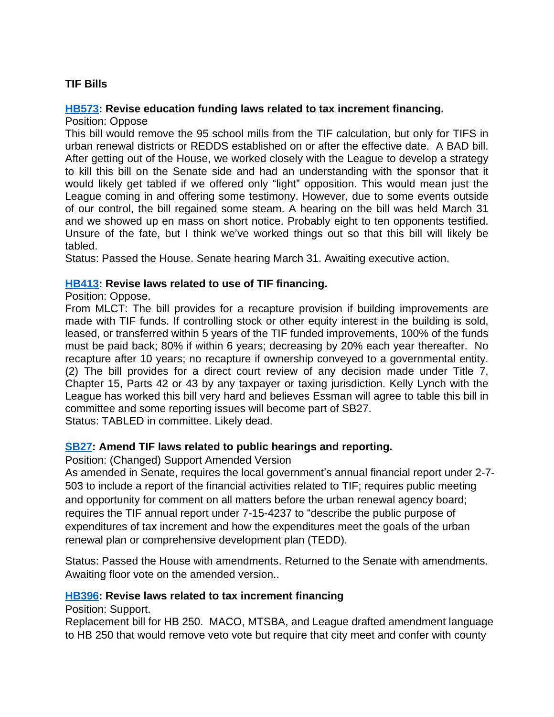# **TIF Bills**

### **[HB573](http://laws.leg.mt.gov/legprd/LAW0210W$BSIV.ActionQuery?P_BILL_NO1=573&P_BLTP_BILL_TYP_CD=HB&Z_ACTION=Find&P_SESS=20171): Revise education funding laws related to tax increment financing.**

Position: Oppose

This bill would remove the 95 school mills from the TIF calculation, but only for TIFS in urban renewal districts or REDDS established on or after the effective date. A BAD bill. After getting out of the House, we worked closely with the League to develop a strategy to kill this bill on the Senate side and had an understanding with the sponsor that it would likely get tabled if we offered only "light" opposition. This would mean just the League coming in and offering some testimony. However, due to some events outside of our control, the bill regained some steam. A hearing on the bill was held March 31 and we showed up en mass on short notice. Probably eight to ten opponents testified. Unsure of the fate, but I think we've worked things out so that this bill will likely be tabled.

Status: Passed the House. Senate hearing March 31. Awaiting executive action.

### **[HB413](http://laws.leg.mt.gov/legprd/LAW0210W$BSIV.ActionQuery?P_BILL_NO1=413&P_BLTP_BILL_TYP_CD=HB&Z_ACTION=Find&P_SESS=20171): Revise laws related to use of TIF financing.**

#### Position: Oppose.

From MLCT: The bill provides for a recapture provision if building improvements are made with TIF funds. If controlling stock or other equity interest in the building is sold, leased, or transferred within 5 years of the TIF funded improvements, 100% of the funds must be paid back; 80% if within 6 years; decreasing by 20% each year thereafter. No recapture after 10 years; no recapture if ownership conveyed to a governmental entity. (2) The bill provides for a direct court review of any decision made under Title 7, Chapter 15, Parts 42 or 43 by any taxpayer or taxing jurisdiction. Kelly Lynch with the League has worked this bill very hard and believes Essman will agree to table this bill in committee and some reporting issues will become part of SB27.

Status: TABLED in committee. Likely dead.

### **[SB27](http://laws.leg.mt.gov/legprd/LAW0210W$BSIV.ActionQuery?P_BILL_NO1=27&P_BLTP_BILL_TYP_CD=SB&Z_ACTION=Find&P_SESS=20171): Amend TIF laws related to public hearings and reporting.**

Position: (Changed) Support Amended Version

As amended in Senate, requires the local government's annual financial report under 2-7- 503 to include a report of the financial activities related to TIF; requires public meeting and opportunity for comment on all matters before the urban renewal agency board; requires the TIF annual report under 7-15-4237 to "describe the public purpose of expenditures of tax increment and how the expenditures meet the goals of the urban renewal plan or comprehensive development plan (TEDD).

Status: Passed the House with amendments. Returned to the Senate with amendments. Awaiting floor vote on the amended version..

### **[HB396](http://laws.leg.mt.gov/legprd/LAW0210W$BSIV.ActionQuery?P_BILL_NO1=396&P_BLTP_BILL_TYP_CD=HB&Z_ACTION=Find&P_SESS=20171): Revise laws related to tax increment financing**

#### Position: Support.

Replacement bill for HB 250. MACO, MTSBA, and League drafted amendment language to HB 250 that would remove veto vote but require that city meet and confer with county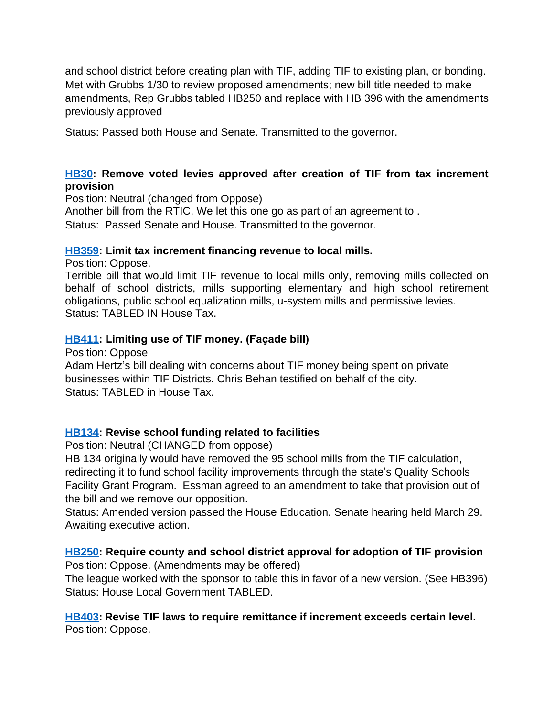and school district before creating plan with TIF, adding TIF to existing plan, or bonding. Met with Grubbs 1/30 to review proposed amendments; new bill title needed to make amendments, Rep Grubbs tabled HB250 and replace with HB 396 with the amendments previously approved

Status: Passed both House and Senate. Transmitted to the governor.

## **[HB30:](http://laws.leg.mt.gov/legprd/LAW0210W$BSIV.ActionQuery?P_BILL_NO1=30&P_BLTP_BILL_TYP_CD=HB&Z_ACTION=Find&P_SESS=20171) Remove voted levies approved after creation of TIF from tax increment provision**

Position: Neutral (changed from Oppose)

Another bill from the RTIC. We let this one go as part of an agreement to .

Status: Passed Senate and House. Transmitted to the governor.

## **[HB359](http://laws.leg.mt.gov/legprd/LAW0210W$BSIV.ActionQuery?P_BILL_NO1=359&P_BLTP_BILL_TYP_CD=HB&Z_ACTION=Find&P_SESS=20171): Limit tax increment financing revenue to local mills.**

Position: Oppose.

Terrible bill that would limit TIF revenue to local mills only, removing mills collected on behalf of school districts, mills supporting elementary and high school retirement obligations, public school equalization mills, u-system mills and permissive levies. Status: TABLED IN House Tax.

# **[HB411](http://laws.leg.mt.gov/legprd/LAW0210W$BSIV.ActionQuery?P_BILL_NO1=411&P_BLTP_BILL_TYP_CD=HB&Z_ACTION=Find&P_SESS=20171): Limiting use of TIF money. (Façade bill)**

Position: Oppose

Adam Hertz's bill dealing with concerns about TIF money being spent on private businesses within TIF Districts. Chris Behan testified on behalf of the city. Status: TABLED in House Tax.

# **[HB134](http://laws.leg.mt.gov/legprd/LAW0210W$BSIV.ActionQuery?P_BILL_NO1=411&P_BLTP_BILL_TYP_CD=HB&Z_ACTION=Find&P_SESS=20171): Revise school funding related to facilities**

Position: Neutral (CHANGED from oppose)

HB 134 originally would have removed the 95 school mills from the TIF calculation, redirecting it to fund school facility improvements through the state's Quality Schools Facility Grant Program. Essman agreed to an amendment to take that provision out of the bill and we remove our opposition.

Status: Amended version passed the House Education. Senate hearing held March 29. Awaiting executive action.

#### **[HB250](http://laws.leg.mt.gov/legprd/LAW0210W$BSIV.ActionQuery?P_BILL_NO1=250&P_BLTP_BILL_TYP_CD=HB&Z_ACTION=Find&P_SESS=20171): Require county and school district approval for adoption of TIF provision** Position: Oppose. (Amendments may be offered)

The league worked with the sponsor to table this in favor of a new version. (See HB396) Status: House Local Government TABLED.

### **[HB403](http://laws.leg.mt.gov/legprd/LAW0210W$BSIV.ActionQuery?P_BILL_NO1=403&P_BLTP_BILL_TYP_CD=HB&Z_ACTION=Find&P_SESS=20171): Revise TIF laws to require remittance if increment exceeds certain level.** Position: Oppose.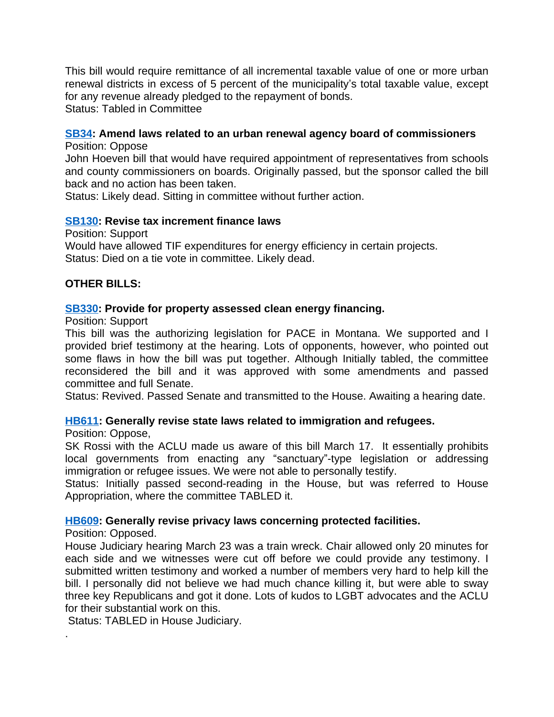This bill would require remittance of all incremental taxable value of one or more urban renewal districts in excess of 5 percent of the municipality's total taxable value, except for any revenue already pledged to the repayment of bonds.

Status: Tabled in Committee

# **[SB34](http://laws.leg.mt.gov/legprd/LAW0210W$BSIV.ActionQuery?P_BILL_NO1=34&P_BLTP_BILL_TYP_CD=SB&Z_ACTION=Find&P_SESS=20171): Amend laws related to an urban renewal agency board of commissioners**

Position: Oppose

John Hoeven bill that would have required appointment of representatives from schools and county commissioners on boards. Originally passed, but the sponsor called the bill back and no action has been taken.

Status: Likely dead. Sitting in committee without further action.

### **[SB130:](http://laws.leg.mt.gov/legprd/LAW0210W$BSIV.ActionQuery?P_BILL_NO1=130&P_BLTP_BILL_TYP_CD=SB&Z_ACTION=Find&P_SESS=20171) Revise tax increment finance laws**

Position: Support

Would have allowed TIF expenditures for energy efficiency in certain projects. Status: Died on a tie vote in committee. Likely dead.

### **OTHER BILLS:**

### **[SB330:](http://laws.leg.mt.gov/legprd/LAW0210W$BSIV.ActionQuery?P_BILL_NO1=330&P_BLTP_BILL_TYP_CD=SB&Z_ACTION=Find&P_SESS=20171) Provide for property assessed clean energy financing.**

Position: Support

This bill was the authorizing legislation for PACE in Montana. We supported and I provided brief testimony at the hearing. Lots of opponents, however, who pointed out some flaws in how the bill was put together. Although Initially tabled, the committee reconsidered the bill and it was approved with some amendments and passed committee and full Senate.

Status: Revived. Passed Senate and transmitted to the House. Awaiting a hearing date.

### **[HB611](http://laws.leg.mt.gov/legprd/LAW0210W$BSIV.ActionQuery?P_BILL_NO1=611&P_BLTP_BILL_TYP_CD=HB&Z_ACTION=Find&P_SESS=20171): Generally revise state laws related to immigration and refugees.**

Position: Oppose,

SK Rossi with the ACLU made us aware of this bill March 17. It essentially prohibits local governments from enacting any "sanctuary"-type legislation or addressing immigration or refugee issues. We were not able to personally testify.

Status: Initially passed second-reading in the House, but was referred to House Appropriation, where the committee TABLED it.

### **[HB609](http://laws.leg.mt.gov/legprd/LAW0210W$BSIV.ActionQuery?P_BILL_NO1=609&P_BLTP_BILL_TYP_CD=HB&Z_ACTION=Find&P_SESS=20171): Generally revise privacy laws concerning protected facilities.**

Position: Opposed.

.

House Judiciary hearing March 23 was a train wreck. Chair allowed only 20 minutes for each side and we witnesses were cut off before we could provide any testimony. I submitted written testimony and worked a number of members very hard to help kill the bill. I personally did not believe we had much chance killing it, but were able to sway three key Republicans and got it done. Lots of kudos to LGBT advocates and the ACLU for their substantial work on this.

Status: TABLED in House Judiciary.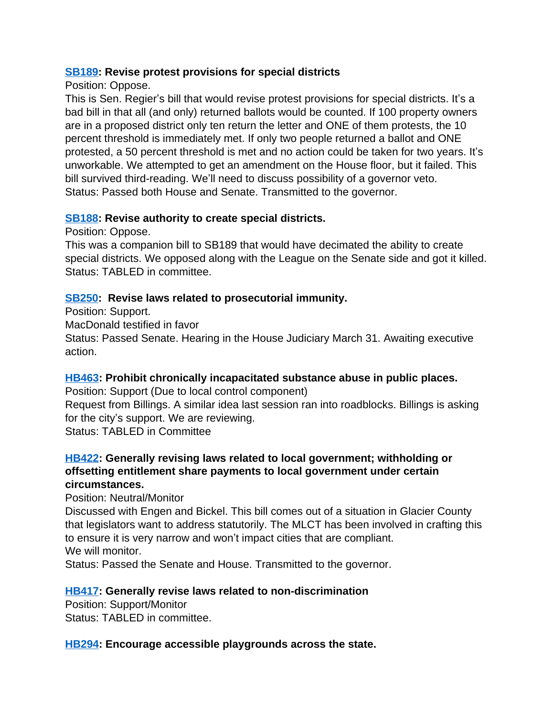### **[SB189:](http://laws.leg.mt.gov/legprd/LAW0210W$BSIV.ActionQuery?P_BILL_NO1=189&P_BLTP_BILL_TYP_CD=SB&Z_ACTION=Find&P_SESS=20171) Revise protest provisions for special districts**

### Position: Oppose.

This is Sen. Regier's bill that would revise protest provisions for special districts. It's a bad bill in that all (and only) returned ballots would be counted. If 100 property owners are in a proposed district only ten return the letter and ONE of them protests, the 10 percent threshold is immediately met. If only two people returned a ballot and ONE protested, a 50 percent threshold is met and no action could be taken for two years. It's unworkable. We attempted to get an amendment on the House floor, but it failed. This bill survived third-reading. We'll need to discuss possibility of a governor veto. Status: Passed both House and Senate. Transmitted to the governor.

# **[SB188:](http://laws.leg.mt.gov/legprd/LAW0210W$BSIV.ActionQuery?P_BILL_NO1=188&P_BLTP_BILL_TYP_CD=SB&Z_ACTION=Find&P_SESS=20171) Revise authority to create special districts.**

Position: Oppose.

action.

This was a companion bill to SB189 that would have decimated the ability to create special districts. We opposed along with the League on the Senate side and got it killed. Status: TABLED in committee.

# **[SB250:](http://laws.leg.mt.gov/legprd/LAW0210W$BSIV.ActionQuery?P_BILL_NO1=250&P_BLTP_BILL_TYP_CD=SB&Z_ACTION=Find&P_SESS=20171) Revise laws related to prosecutorial immunity.**

Position: Support. MacDonald testified in favor Status: Passed Senate. Hearing in the House Judiciary March 31. Awaiting executive

# **[HB463](http://laws.leg.mt.gov/legprd/LAW0210W$BSIV.ActionQuery?P_BILL_NO1=463&P_BLTP_BILL_TYP_CD=HB&Z_ACTION=Find&P_SESS=20171): Prohibit chronically incapacitated substance abuse in public places.**

Position: Support (Due to local control component) Request from Billings. A similar idea last session ran into roadblocks. Billings is asking for the city's support. We are reviewing. Status: TABLED in Committee

## **[HB422](http://laws.leg.mt.gov/legprd/LAW0210W$BSIV.ActionQuery?P_BILL_NO1=422&P_BLTP_BILL_TYP_CD=HB&Z_ACTION=Find&P_SESS=20171): Generally revising laws related to local government; withholding or offsetting entitlement share payments to local government under certain circumstances.**

Position: Neutral/Monitor

Discussed with Engen and Bickel. This bill comes out of a situation in Glacier County that legislators want to address statutorily. The MLCT has been involved in crafting this to ensure it is very narrow and won't impact cities that are compliant. We will monitor.

Status: Passed the Senate and House. Transmitted to the governor.

## **[HB417](http://laws.leg.mt.gov/legprd/LAW0210W$BSIV.ActionQuery?P_BILL_NO1=417&P_BLTP_BILL_TYP_CD=HB&Z_ACTION=Find&P_SESS=20171): Generally revise laws related to non-discrimination**

Position: Support/Monitor Status: TABLED in committee.

## **[HB294](http://laws.leg.mt.gov/legprd/LAW0210W$BSIV.ActionQuery?P_BILL_NO1=294&P_BLTP_BILL_TYP_CD=HB&Z_ACTION=Find&P_SESS=20171): Encourage accessible playgrounds across the state.**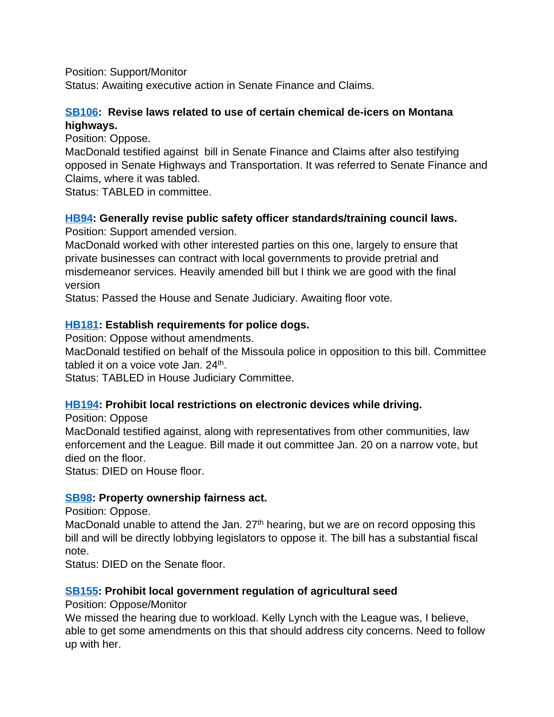Position: Support/Monitor

Status: Awaiting executive action in Senate Finance and Claims.

## **[SB106:](http://laws.leg.mt.gov/legprd/LAW0210W$BSIV.ActionQuery?P_BILL_NO1=106&P_BLTP_BILL_TYP_CD=SB&Z_ACTION=Find&P_SESS=20171) Revise laws related to use of certain chemical de-icers on Montana highways.**

Position: Oppose.

MacDonald testified against bill in Senate Finance and Claims after also testifying opposed in Senate Highways and Transportation. It was referred to Senate Finance and Claims, where it was tabled.

Status: TABLED in committee.

## **[HB94:](http://laws.leg.mt.gov/legprd/LAW0210W$BSIV.ActionQuery?P_BILL_NO1=94&P_BLTP_BILL_TYP_CD=HB&Z_ACTION=Find&P_SESS=20171) Generally revise public safety officer standards/training council laws.**

Position: Support amended version.

MacDonald worked with other interested parties on this one, largely to ensure that private businesses can contract with local governments to provide pretrial and misdemeanor services. Heavily amended bill but I think we are good with the final version

Status: Passed the House and Senate Judiciary. Awaiting floor vote.

## **[HB181](http://laws.leg.mt.gov/legprd/LAW0210W$BSIV.ActionQuery?P_BILL_NO1=181&P_BLTP_BILL_TYP_CD=HB&Z_ACTION=Find&P_SESS=20171): Establish requirements for police dogs.**

Position: Oppose without amendments.

MacDonald testified on behalf of the Missoula police in opposition to this bill. Committee tabled it on a voice vote Jan. 24<sup>th</sup>.

Status: TABLED in House Judiciary Committee.

## **[HB194](http://laws.leg.mt.gov/legprd/LAW0210W$BSIV.ActionQuery?P_BILL_NO1=194&P_BLTP_BILL_TYP_CD=HB&Z_ACTION=Find&P_SESS=20171): Prohibit local restrictions on electronic devices while driving.**

Position: Oppose

MacDonald testified against, along with representatives from other communities, law enforcement and the League. Bill made it out committee Jan. 20 on a narrow vote, but died on the floor.

Status: DIED on House floor.

## **[SB98](http://laws.leg.mt.gov/legprd/LAW0210W$BSIV.ActionQuery?P_BILL_NO1=98&P_BLTP_BILL_TYP_CD=SB&Z_ACTION=Find&P_SESS=20171): Property ownership fairness act.**

Position: Oppose.

MacDonald unable to attend the Jan.  $27<sup>th</sup>$  hearing, but we are on record opposing this bill and will be directly lobbying legislators to oppose it. The bill has a substantial fiscal note.

Status: DIED on the Senate floor.

## **[SB155:](http://laws.leg.mt.gov/legprd/LAW0210W$BSIV.ActionQuery?P_BILL_NO1=155&P_BLTP_BILL_TYP_CD=SB&Z_ACTION=Find&P_SESS=20171) Prohibit local government regulation of agricultural seed**

Position: Oppose/Monitor

We missed the hearing due to workload. Kelly Lynch with the League was, I believe, able to get some amendments on this that should address city concerns. Need to follow up with her.